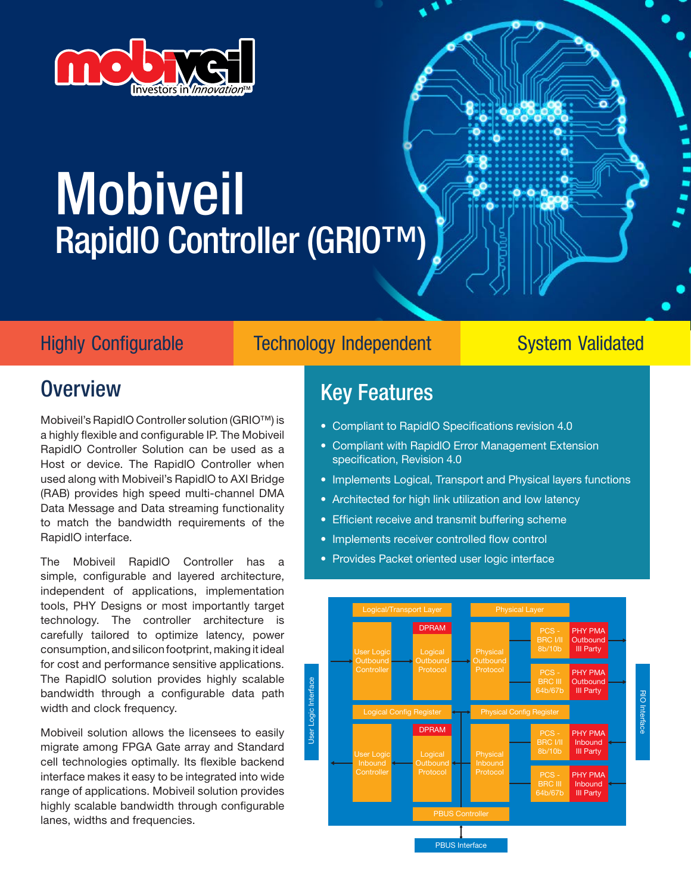

# Mobiveil RapidIO Controller (GRIO™)



## Highly Configurable Technology Independent System Validated

## **Overview**

Mobiveil's RapidlO Controller solution (GRIO™) is a highly flexible and configurable IP. The Mobiveil RapidlO Controller Solution can be used as a Host or device. The RapidlO Controller when used along with Mobiveil's RapidlO to AXI Bridge (RAB) provides high speed multi-channel DMA Data Message and Data streaming functionality to match the bandwidth requirements of the RapidlO interface.

The Mobiveil RapidlO Controller has a simple, configurable and layered architecture, independent of applications, implementation tools, PHY Designs or most importantly target technology. The controller architecture is carefully tailored to optimize latency, power consumption, and silicon footprint, making it ideal for cost and performance sensitive applications. The RapidlO solution provides highly scalable bandwidth through a configurable data path width and clock frequency.

Mobiveil solution allows the licensees to easily migrate among FPGA Gate array and Standard cell technologies optimally. Its flexible backend interface makes it easy to be integrated into wide range of applications. Mobiveil solution provides highly scalable bandwidth through configurable lanes, widths and frequencies.

## Key Features

- Compliant to RapidlO Specifications revision 4.0
- Compliant with RapidlO Error Management Extension specification, Revision 4.0
- Implements Logical, Transport and Physical layers functions
- Architected for high link utilization and low latency
- Efficient receive and transmit buffering scheme
- Implements receiver controlled flow control
- Provides Packet oriented user logic interface